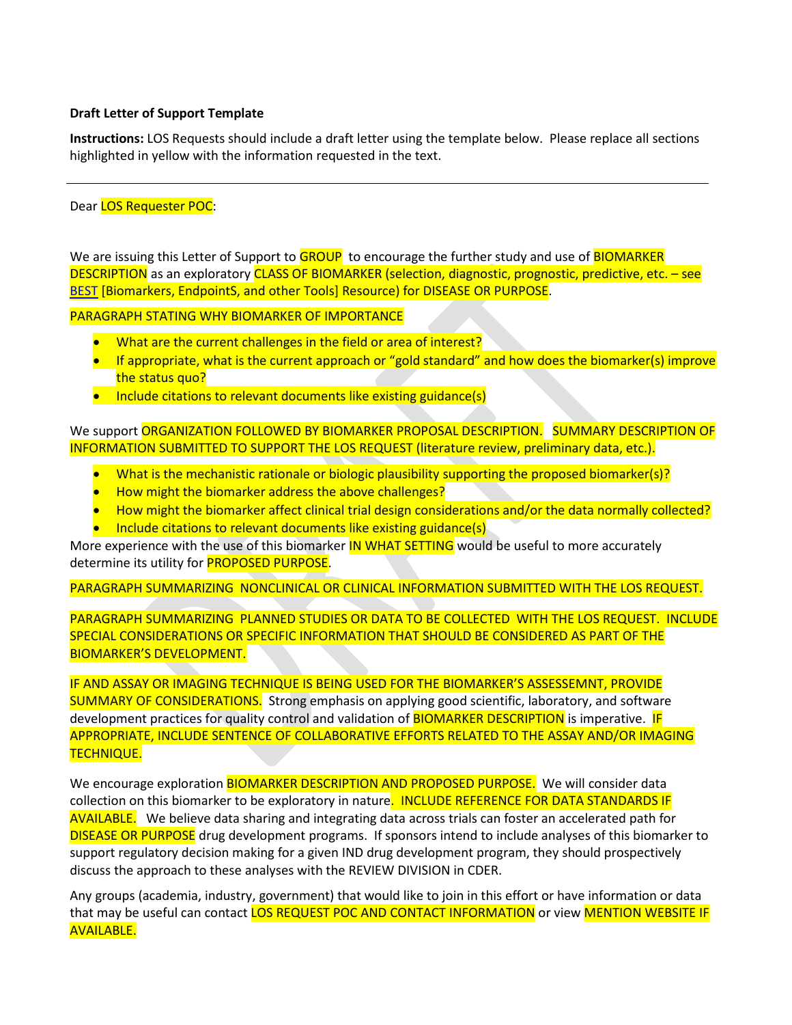## **Draft Letter of Support Template**

**Instructions:** LOS Requests should include a draft letter using the template below. Please replace all sections highlighted in yellow with the information requested in the text.

Dear LOS Requester POC:

We are issuing this Letter of Support to GROUP to encourage the further study and use of **BIOMARKER** DESCRIPTION as an exploratory CLASS OF BIOMARKER (selection, diagnostic, prognostic, predictive, etc. – see [BEST](http://www.ncbi.nlm.nih.gov/books/NBK326791/) [Biomarkers, EndpointS, and other Tools] Resource) for DISEASE OR PURPOSE.

PARAGRAPH STATING WHY BIOMARKER OF IMPORTANCE

- What are the current challenges in the field or area of interest?
- If appropriate, what is the current approach or "gold standard" and how does the biomarker(s) improve the status quo?
- Include citations to relevant documents like existing guidance(s)

We support ORGANIZATION FOLLOWED BY BIOMARKER PROPOSAL DESCRIPTION. SUMMARY DESCRIPTION OF INFORMATION SUBMITTED TO SUPPORT THE LOS REQUEST (literature review, preliminary data, etc.).

- What is the mechanistic rationale or biologic plausibility supporting the proposed biomarker(s)?
- How might the biomarker address the above challenges?
- How might the biomarker affect clinical trial design considerations and/or the data normally collected?
- Include citations to relevant documents like existing guidance(s)

More experience with the use of this biomarker **IN WHAT SETTING** would be useful to more accurately determine its utility for **PROPOSED PURPOSE**.

PARAGRAPH SUMMARIZING NONCLINICAL OR CLINICAL INFORMATION SUBMITTED WITH THE LOS REQUEST.

PARAGRAPH SUMMARIZING PLANNED STUDIES OR DATA TO BE COLLECTED WITH THE LOS REQUEST. INCLUDE SPECIAL CONSIDERATIONS OR SPECIFIC INFORMATION THAT SHOULD BE CONSIDERED AS PART OF THE BIOMARKER'S DEVELOPMENT.

IF AND ASSAY OR IMAGING TECHNIQUE IS BEING USED FOR THE BIOMARKER'S ASSESSEMNT, PROVIDE SUMMARY OF CONSIDERATIONS. Strong emphasis on applying good scientific, laboratory, and software development practices for quality control and validation of **BIOMARKER DESCRIPTION** is imperative. **IF** APPROPRIATE, INCLUDE SENTENCE OF COLLABORATIVE EFFORTS RELATED TO THE ASSAY AND/OR IMAGING TECHNIQUE.

We encourage exploration BIOMARKER DESCRIPTION AND PROPOSED PURPOSE. We will consider data collection on this biomarker to be exploratory in nature. INCLUDE REFERENCE FOR DATA STANDARDS IF AVAILABLE. We believe data sharing and integrating data across trials can foster an accelerated path for DISEASE OR PURPOSE drug development programs. If sponsors intend to include analyses of this biomarker to support regulatory decision making for a given IND drug development program, they should prospectively discuss the approach to these analyses with the REVIEW DIVISION in CDER.

Any groups (academia, industry, government) that would like to join in this effort or have information or data that may be useful can contact LOS REQUEST POC AND CONTACT INFORMATION or view MENTION WEBSITE IF AVAILABLE.